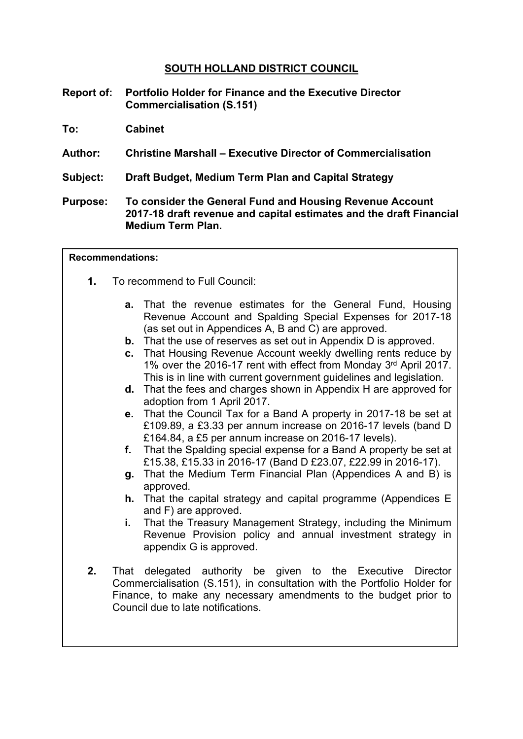# **SOUTH HOLLAND DISTRICT COUNCIL**

- **Report of: Portfolio Holder for Finance and the Executive Director Commercialisation (S.151)**
- **To: Cabinet**
- **Author: Christine Marshall – Executive Director of Commercialisation**
- **Subject: Draft Budget, Medium Term Plan and Capital Strategy**
- **Purpose: To consider the General Fund and Housing Revenue Account 2017-18 draft revenue and capital estimates and the draft Financial Medium Term Plan.**

#### **Recommendations:**

- **1.** To recommend to Full Council:
	- **a.** That the revenue estimates for the General Fund, Housing Revenue Account and Spalding Special Expenses for 2017-18 (as set out in Appendices A, B and C) are approved.
	- **b.** That the use of reserves as set out in Appendix D is approved.
	- **c.** That Housing Revenue Account weekly dwelling rents reduce by 1% over the 2016-17 rent with effect from Monday 3rd April 2017. This is in line with current government guidelines and legislation.
	- **d.** That the fees and charges shown in Appendix H are approved for adoption from 1 April 2017.
	- **e.** That the Council Tax for a Band A property in 2017-18 be set at £109.89, a £3.33 per annum increase on 2016-17 levels (band D £164.84, a £5 per annum increase on 2016-17 levels).
	- **f.** That the Spalding special expense for a Band A property be set at £15.38, £15.33 in 2016-17 (Band D £23.07, £22.99 in 2016-17).
	- **g.** That the Medium Term Financial Plan (Appendices A and B) is approved.
	- **h.** That the capital strategy and capital programme (Appendices E and F) are approved.
	- **i.** That the Treasury Management Strategy, including the Minimum Revenue Provision policy and annual investment strategy in appendix G is approved.
- **2.** That delegated authority be given to the Executive Director Commercialisation (S.151), in consultation with the Portfolio Holder for Finance, to make any necessary amendments to the budget prior to Council due to late notifications.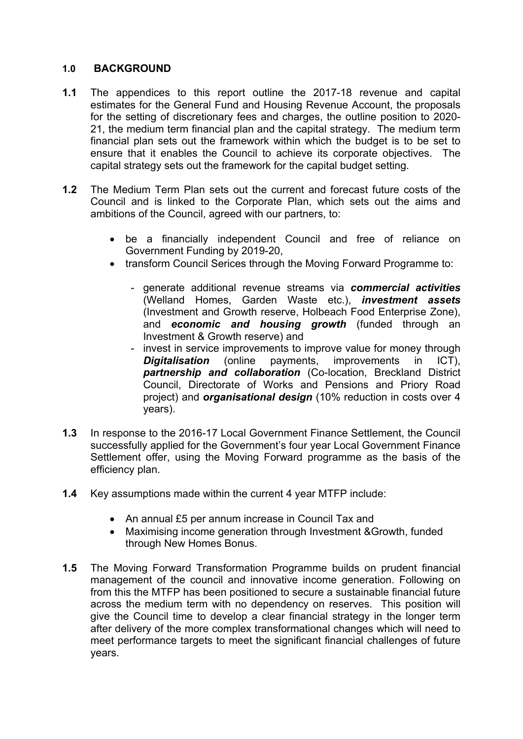# **1.0 BACKGROUND**

- **1.1** The appendices to this report outline the 2017-18 revenue and capital estimates for the General Fund and Housing Revenue Account, the proposals for the setting of discretionary fees and charges, the outline position to 2020- 21, the medium term financial plan and the capital strategy. The medium term financial plan sets out the framework within which the budget is to be set to ensure that it enables the Council to achieve its corporate objectives. The capital strategy sets out the framework for the capital budget setting.
- **1.2** The Medium Term Plan sets out the current and forecast future costs of the Council and is linked to the Corporate Plan, which sets out the aims and ambitions of the Council, agreed with our partners, to:
	- be a financially independent Council and free of reliance on Government Funding by 2019-20,
	- transform Council Serices through the Moving Forward Programme to:
		- generate additional revenue streams via *commercial activities* (Welland Homes, Garden Waste etc.), *investment assets* (Investment and Growth reserve, Holbeach Food Enterprise Zone), and *economic and housing growth* (funded through an Investment & Growth reserve) and
		- invest in service improvements to improve value for money through *Digitalisation* (online payments, improvements in ICT), *partnership and collaboration* (Co-location, Breckland District Council, Directorate of Works and Pensions and Priory Road project) and *organisational design* (10% reduction in costs over 4 years).
- **1.3** In response to the 2016-17 Local Government Finance Settlement, the Council successfully applied for the Government's four year Local Government Finance Settlement offer, using the Moving Forward programme as the basis of the efficiency plan.
- **1.4** Key assumptions made within the current 4 year MTFP include:
	- An annual £5 per annum increase in Council Tax and
	- Maximising income generation through Investment &Growth, funded through New Homes Bonus.
- **1.5** The Moving Forward Transformation Programme builds on prudent financial management of the council and innovative income generation. Following on from this the MTFP has been positioned to secure a sustainable financial future across the medium term with no dependency on reserves. This position will give the Council time to develop a clear financial strategy in the longer term after delivery of the more complex transformational changes which will need to meet performance targets to meet the significant financial challenges of future years.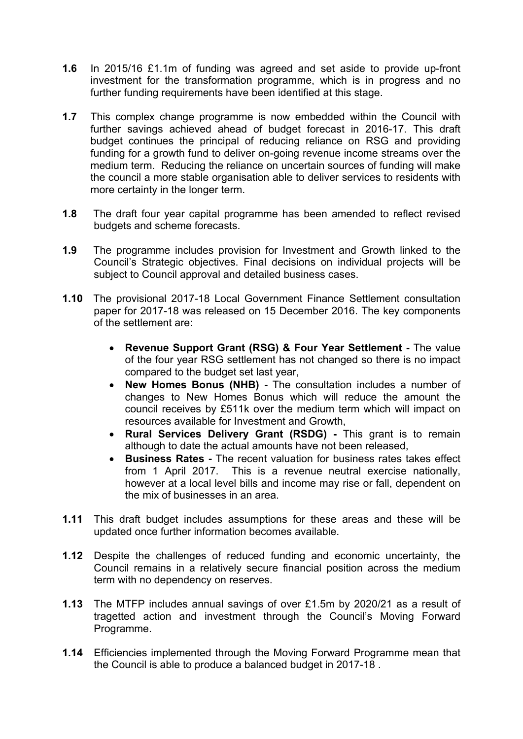- **1.6** In 2015/16 £1.1m of funding was agreed and set aside to provide up-front investment for the transformation programme, which is in progress and no further funding requirements have been identified at this stage.
- **1.7** This complex change programme is now embedded within the Council with further savings achieved ahead of budget forecast in 2016-17. This draft budget continues the principal of reducing reliance on RSG and providing funding for a growth fund to deliver on-going revenue income streams over the medium term. Reducing the reliance on uncertain sources of funding will make the council a more stable organisation able to deliver services to residents with more certainty in the longer term.
- **1.8** The draft four year capital programme has been amended to reflect revised budgets and scheme forecasts.
- **1.9** The programme includes provision for Investment and Growth linked to the Council's Strategic objectives. Final decisions on individual projects will be subject to Council approval and detailed business cases.
- **1.10** The provisional 2017-18 Local Government Finance Settlement consultation paper for 2017-18 was released on 15 December 2016. The key components of the settlement are:
	- **Revenue Support Grant (RSG) & Four Year Settlement -** The value of the four year RSG settlement has not changed so there is no impact compared to the budget set last year,
	- **New Homes Bonus (NHB) -** The consultation includes a number of changes to New Homes Bonus which will reduce the amount the council receives by £511k over the medium term which will impact on resources available for Investment and Growth,
	- **Rural Services Delivery Grant (RSDG) -** This grant is to remain although to date the actual amounts have not been released,
	- **Business Rates -** The recent valuation for business rates takes effect from 1 April 2017. This is a revenue neutral exercise nationally, however at a local level bills and income may rise or fall, dependent on the mix of businesses in an area.
- **1.11** This draft budget includes assumptions for these areas and these will be updated once further information becomes available.
- **1.12** Despite the challenges of reduced funding and economic uncertainty, the Council remains in a relatively secure financial position across the medium term with no dependency on reserves.
- **1.13** The MTFP includes annual savings of over £1.5m by 2020/21 as a result of tragetted action and investment through the Council's Moving Forward Programme.
- **1.14** Efficiencies implemented through the Moving Forward Programme mean that the Council is able to produce a balanced budget in 2017-18 .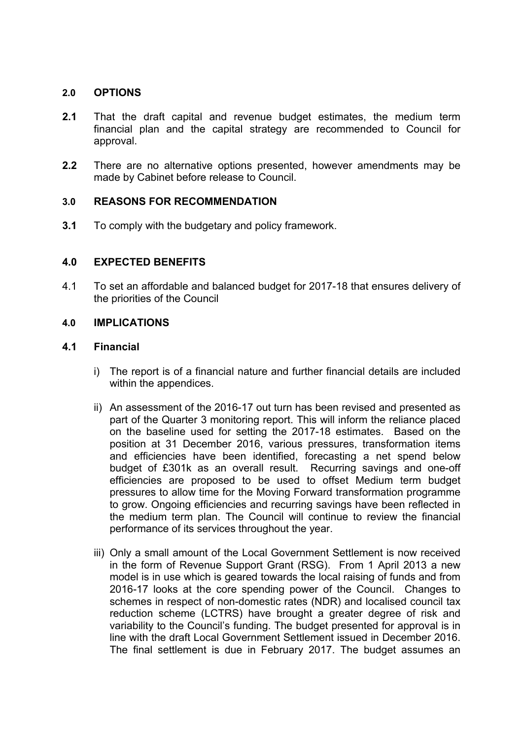# **2.0 OPTIONS**

- **2.1** That the draft capital and revenue budget estimates, the medium term financial plan and the capital strategy are recommended to Council for approval.
- **2.2** There are no alternative options presented, however amendments may be made by Cabinet before release to Council.

# **3.0 REASONS FOR RECOMMENDATION**

**3.1** To comply with the budgetary and policy framework.

# **4.0 EXPECTED BENEFITS**

4.1 To set an affordable and balanced budget for 2017-18 that ensures delivery of the priorities of the Council

# **4.0 IMPLICATIONS**

# **4.1 Financial**

- i) The report is of a financial nature and further financial details are included within the appendices.
- ii) An assessment of the 2016-17 out turn has been revised and presented as part of the Quarter 3 monitoring report. This will inform the reliance placed on the baseline used for setting the 2017-18 estimates. Based on the position at 31 December 2016, various pressures, transformation items and efficiencies have been identified, forecasting a net spend below budget of £301k as an overall result. Recurring savings and one-off efficiencies are proposed to be used to offset Medium term budget pressures to allow time for the Moving Forward transformation programme to grow. Ongoing efficiencies and recurring savings have been reflected in the medium term plan. The Council will continue to review the financial performance of its services throughout the year.
- iii) Only a small amount of the Local Government Settlement is now received in the form of Revenue Support Grant (RSG). From 1 April 2013 a new model is in use which is geared towards the local raising of funds and from 2016-17 looks at the core spending power of the Council. Changes to schemes in respect of non-domestic rates (NDR) and localised council tax reduction scheme (LCTRS) have brought a greater degree of risk and variability to the Council's funding. The budget presented for approval is in line with the draft Local Government Settlement issued in December 2016. The final settlement is due in February 2017. The budget assumes an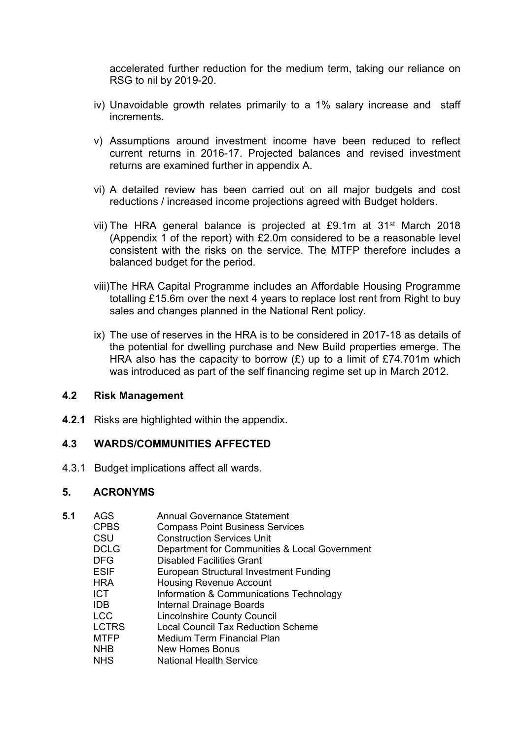accelerated further reduction for the medium term, taking our reliance on RSG to nil by 2019-20.

- iv) Unavoidable growth relates primarily to a 1% salary increase and staff increments.
- v) Assumptions around investment income have been reduced to reflect current returns in 2016-17. Projected balances and revised investment returns are examined further in appendix A.
- vi) A detailed review has been carried out on all major budgets and cost reductions / increased income projections agreed with Budget holders.
- vii) The HRA general balance is projected at £9.1m at 31st March 2018 (Appendix 1 of the report) with £2.0m considered to be a reasonable level consistent with the risks on the service. The MTFP therefore includes a balanced budget for the period.
- viii)The HRA Capital Programme includes an Affordable Housing Programme totalling £15.6m over the next 4 years to replace lost rent from Right to buy sales and changes planned in the National Rent policy.
- ix) The use of reserves in the HRA is to be considered in 2017-18 as details of the potential for dwelling purchase and New Build properties emerge. The HRA also has the capacity to borrow  $(E)$  up to a limit of £74.701m which was introduced as part of the self financing regime set up in March 2012.

#### **4.2 Risk Management**

**4.2.1** Risks are highlighted within the appendix.

# **4.3 WARDS/COMMUNITIES AFFECTED**

4.3.1 Budget implications affect all wards.

# **5. ACRONYMS**

| 5.1 | AGS          | Annual Governance Statement                   |
|-----|--------------|-----------------------------------------------|
|     | <b>CPBS</b>  | <b>Compass Point Business Services</b>        |
|     | CSU          | <b>Construction Services Unit</b>             |
|     | <b>DCLG</b>  | Department for Communities & Local Government |
|     | <b>DFG</b>   | <b>Disabled Facilities Grant</b>              |
|     | <b>ESIF</b>  | European Structural Investment Funding        |
|     | <b>HRA</b>   | <b>Housing Revenue Account</b>                |
|     | ICT.         | Information & Communications Technology       |
|     | <b>IDB</b>   | Internal Drainage Boards                      |
|     | <b>LCC</b>   | <b>Lincolnshire County Council</b>            |
|     | <b>LCTRS</b> | <b>Local Council Tax Reduction Scheme</b>     |
|     | <b>MTFP</b>  | Medium Term Financial Plan                    |
|     | <b>NHB</b>   | New Homes Bonus                               |
|     | <b>NHS</b>   | <b>National Health Service</b>                |
|     |              |                                               |